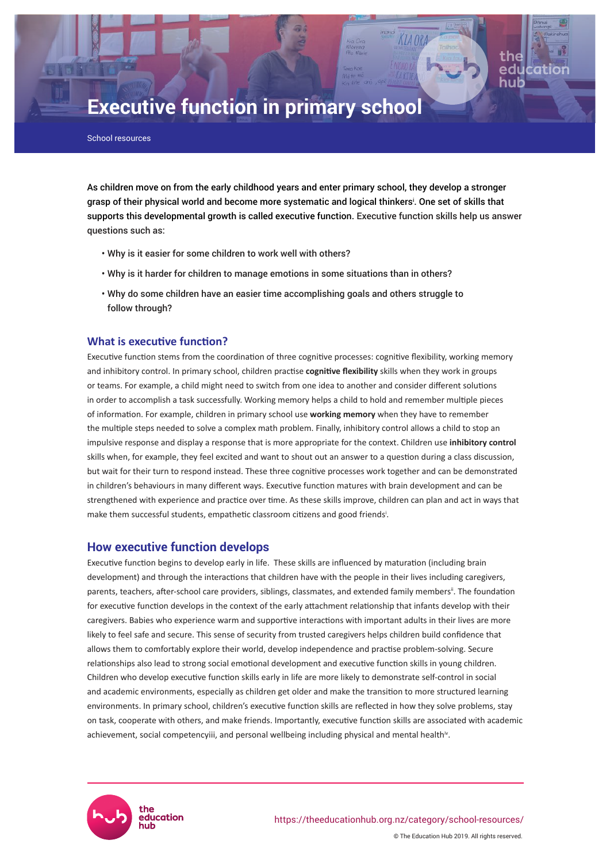# **Executive function in primary school**

School resources

As children move on from the early childhood years and enter primary school, they develop a stronger grasp of their physical world and become more systematic and logical thinkers<sup>i</sup> . One set of skills that supports this developmental growth is called executive function. Executive function skills help us answer questions such as:

- Why is it easier for some children to work well with others?
- Why is it harder for children to manage emotions in some situations than in others?
- Why do some children have an easier time accomplishing goals and others struggle to follow through?

### **What is executive function?**

Executive function stems from the coordination of three cognitive processes: cognitive flexibility, working memory and inhibitory control. In primary school, children practise **cognitive flexibility** skills when they work in groups or teams. For example, a child might need to switch from one idea to another and consider different solutions in order to accomplish a task successfully. Working memory helps a child to hold and remember multiple pieces of information. For example, children in primary school use **working memory** when they have to remember the multiple steps needed to solve a complex math problem. Finally, inhibitory control allows a child to stop an impulsive response and display a response that is more appropriate for the context. Children use **inhibitory control** skills when, for example, they feel excited and want to shout out an answer to a question during a class discussion, but wait for their turn to respond instead. These three cognitive processes work together and can be demonstrated in children's behaviours in many different ways. Executive function matures with brain development and can be strengthened with experience and practice over time. As these skills improve, children can plan and act in ways that make them successful students, empathetic classroom citizens and good friends<sup>i</sup>.

## **How executive function develops**

Executive function begins to develop early in life. These skills are influenced by maturation (including brain development) and through the interactions that children have with the people in their lives including caregivers, parents, teachers, after-school care providers, siblings, classmates, and extended family members<sup>ii</sup>. The foundation for executive function develops in the context of the early attachment relationship that infants develop with their caregivers. Babies who experience warm and supportive interactions with important adults in their lives are more likely to feel safe and secure. This sense of security from trusted caregivers helps children build confidence that allows them to comfortably explore their world, develop independence and practise problem-solving. Secure relationships also lead to strong social emotional development and executive function skills in young children. Children who develop executive function skills early in life are more likely to demonstrate self-control in social and academic environments, especially as children get older and make the transition to more structured learning environments. In primary school, children's executive function skills are reflected in how they solve problems, stay on task, cooperate with others, and make friends. Importantly, executive function skills are associated with academic achievement, social competencyiii, and personal wellbeing including physical and mental health<sup>iv</sup>.

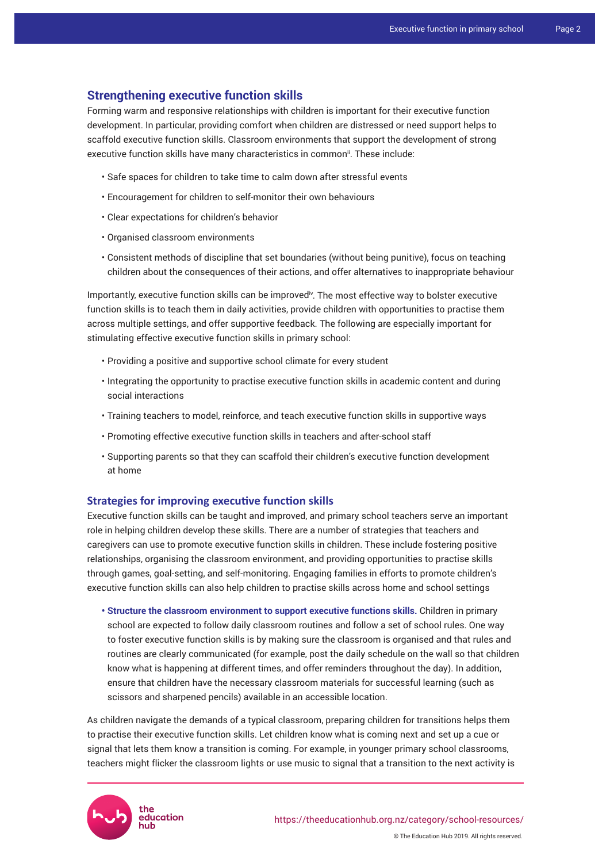# **Strengthening executive function skills**

Forming warm and responsive relationships with children is important for their executive function development. In particular, providing comfort when children are distressed or need support helps to scaffold executive function skills. Classroom environments that support the development of strong executive function skills have many characteristics in common<sup>ii</sup>. These include:

- Safe spaces for children to take time to calm down after stressful events
- Encouragement for children to self-monitor their own behaviours
- Clear expectations for children's behavior
- Organised classroom environments
- Consistent methods of discipline that set boundaries (without being punitive), focus on teaching children about the consequences of their actions, and offer alternatives to inappropriate behaviour

Importantly, executive function skills can be improved<sup>iv</sup>. The most effective way to bolster executive function skills is to teach them in daily activities, provide children with opportunities to practise them across multiple settings, and offer supportive feedback. The following are especially important for stimulating effective executive function skills in primary school:

- Providing a positive and supportive school climate for every student
- Integrating the opportunity to practise executive function skills in academic content and during social interactions
- Training teachers to model, reinforce, and teach executive function skills in supportive ways
- Promoting effective executive function skills in teachers and after-school staff
- Supporting parents so that they can scaffold their children's executive function development at home

## **Strategies for improving executive function skills**

Executive function skills can be taught and improved, and primary school teachers serve an important role in helping children develop these skills. There are a number of strategies that teachers and caregivers can use to promote executive function skills in children. These include fostering positive relationships, organising the classroom environment, and providing opportunities to practise skills through games, goal-setting, and self-monitoring. Engaging families in efforts to promote children's executive function skills can also help children to practise skills across home and school settings

**• Structure the classroom environment to support executive functions skills.** Children in primary school are expected to follow daily classroom routines and follow a set of school rules. One way to foster executive function skills is by making sure the classroom is organised and that rules and routines are clearly communicated (for example, post the daily schedule on the wall so that children know what is happening at different times, and offer reminders throughout the day). In addition, ensure that children have the necessary classroom materials for successful learning (such as scissors and sharpened pencils) available in an accessible location.

As children navigate the demands of a typical classroom, preparing children for transitions helps them to practise their executive function skills. Let children know what is coming next and set up a cue or signal that lets them know a transition is coming. For example, in younger primary school classrooms, teachers might flicker the classroom lights or use music to signal that a transition to the next activity is



© The Education Hub 2019. All rights reserved.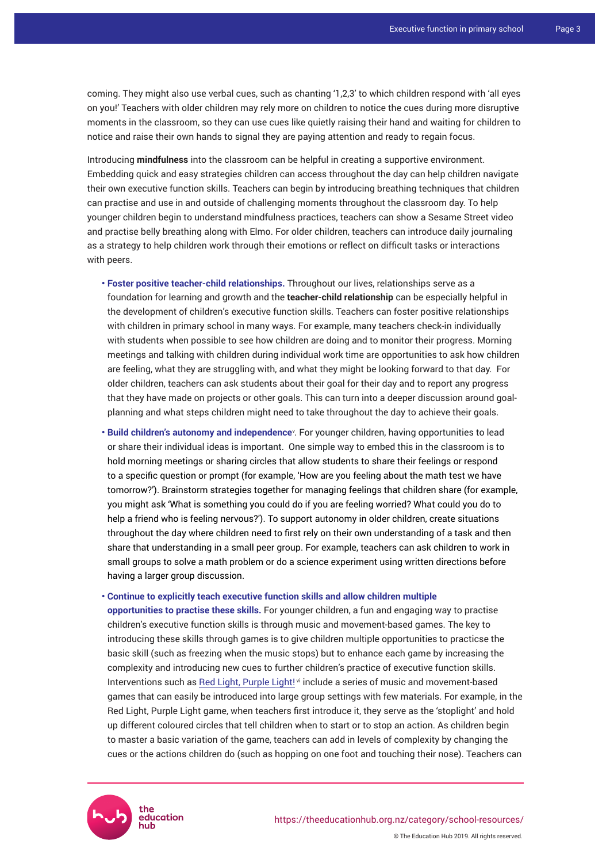coming. They might also use verbal cues, such as chanting '1,2,3' to which children respond with 'all eyes on you!' Teachers with older children may rely more on children to notice the cues during more disruptive moments in the classroom, so they can use cues like quietly raising their hand and waiting for children to notice and raise their own hands to signal they are paying attention and ready to regain focus.

Introducing **mindfulness** into the classroom can be helpful in creating a supportive environment. Embedding quick and easy strategies children can access throughout the day can help children navigate their own executive function skills. Teachers can begin by introducing breathing techniques that children can practise and use in and outside of challenging moments throughout the classroom day. To help younger children begin to understand mindfulness practices, teachers can show a Sesame Street video and practise belly breathing along with Elmo. For older children, teachers can introduce daily journaling as a strategy to help children work through their emotions or reflect on difficult tasks or interactions with peers.

- **Foster positive teacher-child relationships.** Throughout our lives, relationships serve as a foundation for learning and growth and the **teacher-child relationship** can be especially helpful in the development of children's executive function skills. Teachers can foster positive relationships with children in primary school in many ways. For example, many teachers check-in individually with students when possible to see how children are doing and to monitor their progress. Morning meetings and talking with children during individual work time are opportunities to ask how children are feeling, what they are struggling with, and what they might be looking forward to that day. For older children, teachers can ask students about their goal for their day and to report any progress that they have made on projects or other goals. This can turn into a deeper discussion around goalplanning and what steps children might need to take throughout the day to achieve their goals.
- **Build children's autonomy and independence**<sup>v</sup> . For younger children, having opportunities to lead or share their individual ideas is important. One simple way to embed this in the classroom is to hold morning meetings or sharing circles that allow students to share their feelings or respond to a specific question or prompt (for example, 'How are you feeling about the math test we have tomorrow?'). Brainstorm strategies together for managing feelings that children share (for example, you might ask 'What is something you could do if you are feeling worried? What could you do to help a friend who is feeling nervous?'). To support autonomy in older children, create situations throughout the day where children need to first rely on their own understanding of a task and then share that understanding in a small peer group. For example, teachers can ask children to work in small groups to solve a math problem or do a science experiment using written directions before having a larger group discussion.

#### **• Continue to explicitly teach executive function skills and allow children multiple**

**opportunities to practise these skills.** For younger children, a fun and engaging way to practise children's executive function skills is through music and movement-based games. The key to introducing these skills through games is to give children multiple opportunities to practicse the basic skill (such as freezing when the music stops) but to enhance each game by increasing the complexity and introducing new cues to further children's practice of executive function skills. Interventions such as [Red Light, Purple Light!](https://workspace.oregonstate.edu/course/red-light-purple-light-a-self-regulation-intervention-program)<sup>vi</sup> include a series of music and movement-based games that can easily be introduced into large group settings with few materials. For example, in the Red Light, Purple Light game, when teachers first introduce it, they serve as the 'stoplight' and hold up different coloured circles that tell children when to start or to stop an action. As children begin to master a basic variation of the game, teachers can add in levels of complexity by changing the cues or the actions children do (such as hopping on one foot and touching their nose). Teachers can

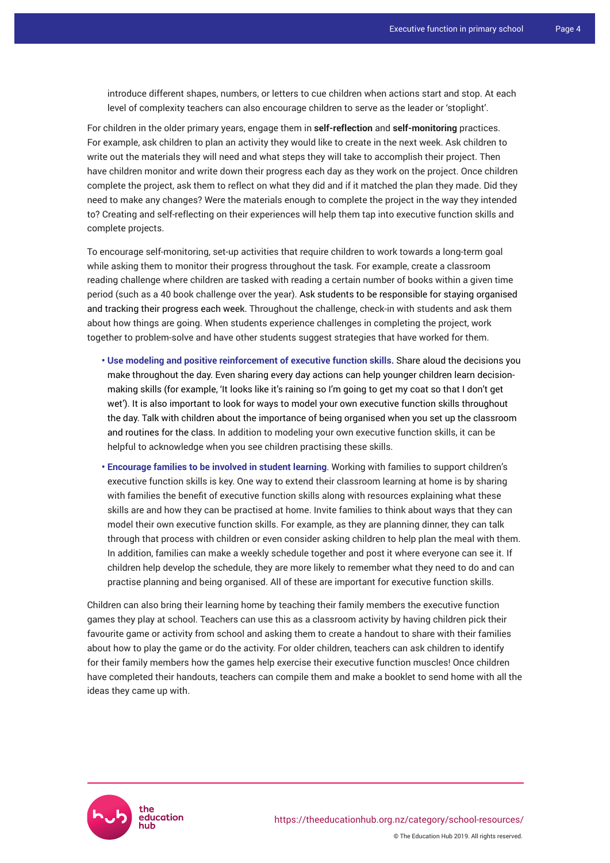introduce different shapes, numbers, or letters to cue children when actions start and stop. At each level of complexity teachers can also encourage children to serve as the leader or 'stoplight'.

For children in the older primary years, engage them in **self-reflection** and **self-monitoring** practices. For example, ask children to plan an activity they would like to create in the next week. Ask children to write out the materials they will need and what steps they will take to accomplish their project. Then have children monitor and write down their progress each day as they work on the project. Once children complete the project, ask them to reflect on what they did and if it matched the plan they made. Did they need to make any changes? Were the materials enough to complete the project in the way they intended to? Creating and self-reflecting on their experiences will help them tap into executive function skills and complete projects.

To encourage self-monitoring, set-up activities that require children to work towards a long-term goal while asking them to monitor their progress throughout the task. For example, create a classroom reading challenge where children are tasked with reading a certain number of books within a given time period (such as a 40 book challenge over the year). Ask students to be responsible for staying organised and tracking their progress each week. Throughout the challenge, check-in with students and ask them about how things are going. When students experience challenges in completing the project, work together to problem-solve and have other students suggest strategies that have worked for them.

- **Use modeling and positive reinforcement of executive function skills.** Share aloud the decisions you make throughout the day. Even sharing every day actions can help younger children learn decisionmaking skills (for example, 'It looks like it's raining so I'm going to get my coat so that I don't get wet'). It is also important to look for ways to model your own executive function skills throughout the day. Talk with children about the importance of being organised when you set up the classroom and routines for the class. In addition to modeling your own executive function skills, it can be helpful to acknowledge when you see children practising these skills.
- **Encourage families to be involved in student learning**. Working with families to support children's executive function skills is key. One way to extend their classroom learning at home is by sharing with families the benefit of executive function skills along with resources explaining what these skills are and how they can be practised at home. Invite families to think about ways that they can model their own executive function skills. For example, as they are planning dinner, they can talk through that process with children or even consider asking children to help plan the meal with them. In addition, families can make a weekly schedule together and post it where everyone can see it. If children help develop the schedule, they are more likely to remember what they need to do and can practise planning and being organised. All of these are important for executive function skills.

Children can also bring their learning home by teaching their family members the executive function games they play at school. Teachers can use this as a classroom activity by having children pick their favourite game or activity from school and asking them to create a handout to share with their families about how to play the game or do the activity. For older children, teachers can ask children to identify for their family members how the games help exercise their executive function muscles! Once children have completed their handouts, teachers can compile them and make a booklet to send home with all the ideas they came up with.